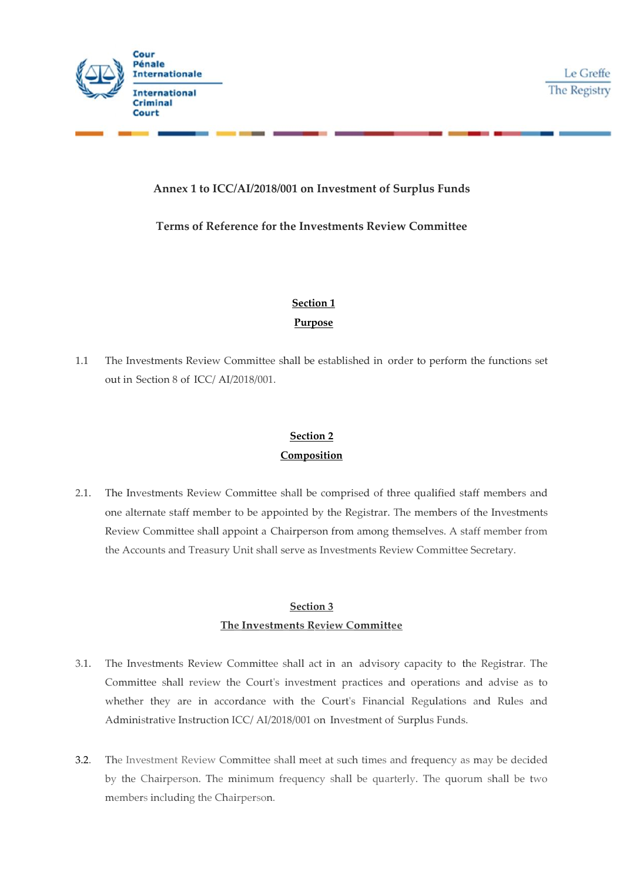

Le Greffe The Registry

### **Annex 1 to ICC/AI/2018/001 on Investment of Surplus Funds**

#### **Terms of Reference for the Investments Review Committee**

# **Section 1 Purpose**

1.1 The Investments Review Committee shall be established in order to perform the functions set out in Section 8 of ICC/ AI/2018/001.

## **Section 2 Composition**

2.1. The Investments Review Committee shall be comprised of three qualified staff members and one alternate staff member to be appointed by the Registrar. The members of the Investments Review Committee shall appoint a Chairperson from among themselves. A staff member from the Accounts and Treasury Unit shall serve as Investments Review Committee Secretary.

### **Section 3 The Investments Review Committee**

- 3.1. The Investments Review Committee shall act in an advisory capacity to the Registrar. The Committee shall review the Court's investment practices and operations and advise as to whether they are in accordance with the Court's Financial Regulations and Rules and Administrative Instruction ICC/ AI/2018/001 on Investment of Surplus Funds.
- 3.2. The Investment Review Committee shall meet at such times and frequency as may be decided by the Chairperson. The minimum frequency shall be quarterly. The quorum shall be two members including the Chairperson.